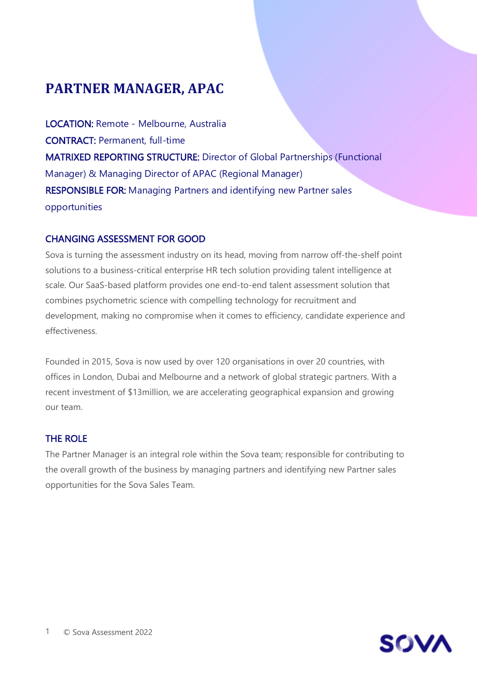# **PARTNER MANAGER, APAC**

LOCATION: Remote - Melbourne, Australia CONTRACT: Permanent, full-time MATRIXED REPORTING STRUCTURE: Director of Global Partnerships (Functional Manager) & Managing Director of APAC (Regional Manager) RESPONSIBLE FOR: Managing Partners and identifying new Partner sales opportunities

# CHANGING ASSESSMENT FOR GOOD

Sova is turning the assessment industry on its head, moving from narrow off-the-shelf point solutions to a business-critical enterprise HR tech solution providing talent intelligence at scale. Our SaaS-based platform provides one end-to-end talent assessment solution that combines psychometric science with compelling technology for recruitment and development, making no compromise when it comes to efficiency, candidate experience and effectiveness.

Founded in 2015, Sova is now used by over 120 organisations in over 20 countries, with offices in London, Dubai and Melbourne and a network of global strategic partners. With a recent investment of \$13million, we are accelerating geographical expansion and growing our team.

# THE ROLE

The Partner Manager is an integral role within the Sova team; responsible for contributing to the overall growth of the business by managing partners and identifying new Partner sales opportunities for the Sova Sales Team.

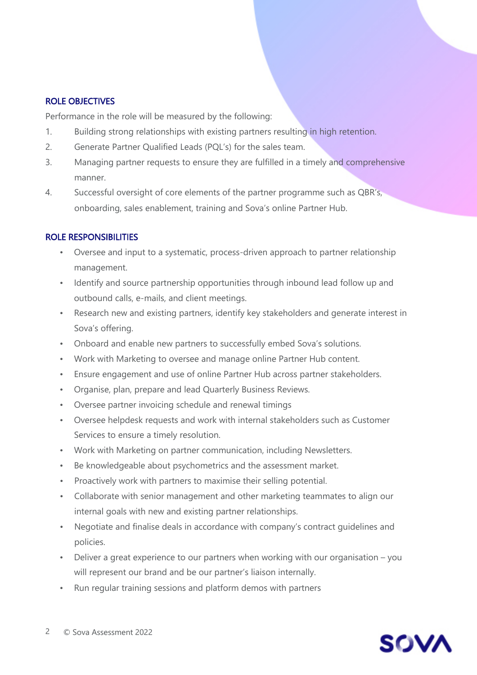#### ROLE OBJECTIVES

Performance in the role will be measured by the following:

- 1. Building strong relationships with existing partners resulting in high retention.
- 2. Generate Partner Qualified Leads (PQL's) for the sales team.
- 3. Managing partner requests to ensure they are fulfilled in a timely and comprehensive manner.
- 4. Successful oversight of core elements of the partner programme such as QBR's, onboarding, sales enablement, training and Sova's online Partner Hub.

## ROLE RESPONSIBILITIES

- Oversee and input to a systematic, process-driven approach to partner relationship management.
- Identify and source partnership opportunities through inbound lead follow up and outbound calls, e-mails, and client meetings.
- Research new and existing partners, identify key stakeholders and generate interest in Sova's offering.
- Onboard and enable new partners to successfully embed Sova's solutions.
- Work with Marketing to oversee and manage online Partner Hub content.
- Ensure engagement and use of online Partner Hub across partner stakeholders.
- Organise, plan, prepare and lead Quarterly Business Reviews.
- Oversee partner invoicing schedule and renewal timings
- Oversee helpdesk requests and work with internal stakeholders such as Customer Services to ensure a timely resolution.
- Work with Marketing on partner communication, including Newsletters.
- Be knowledgeable about psychometrics and the assessment market.
- Proactively work with partners to maximise their selling potential.
- Collaborate with senior management and other marketing teammates to align our internal goals with new and existing partner relationships.
- Negotiate and finalise deals in accordance with company's contract guidelines and policies.
- Deliver a great experience to our partners when working with our organisation you will represent our brand and be our partner's liaison internally.
- Run regular training sessions and platform demos with partners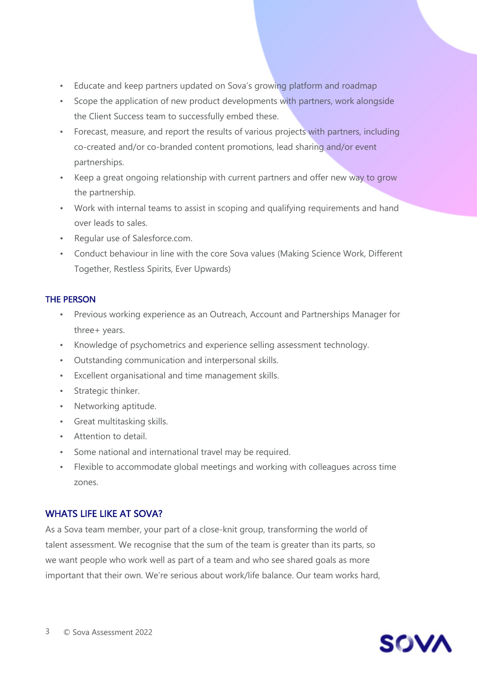- Educate and keep partners updated on Sova's growing platform and roadmap
- Scope the application of new product developments with partners, work alongside the Client Success team to successfully embed these.
- Forecast, measure, and report the results of various projects with partners, including co-created and/or co-branded content promotions, lead sharing and/or event partnerships.
- Keep a great ongoing relationship with current partners and offer new way to grow the partnership.
- Work with internal teams to assist in scoping and qualifying requirements and hand over leads to sales.
- Regular use of Salesforce.com.
- Conduct behaviour in line with the core Sova values (Making Science Work, Different Together, Restless Spirits, Ever Upwards)

#### THE PERSON

- Previous working experience as an Outreach, Account and Partnerships Manager for three+ years.
- Knowledge of psychometrics and experience selling assessment technology.
- Outstanding communication and interpersonal skills.
- Excellent organisational and time management skills.
- Strategic thinker.
- Networking aptitude.
- Great multitasking skills.
- Attention to detail.
- Some national and international travel may be required.
- Flexible to accommodate global meetings and working with colleagues across time zones.

## WHATS LIFE LIKE AT SOVA?

As a Sova team member, your part of a close-knit group, transforming the world of talent assessment. We recognise that the sum of the team is greater than its parts, so we want people who work well as part of a team and who see shared goals as more important that their own. We're serious about work/life balance. Our team works hard,